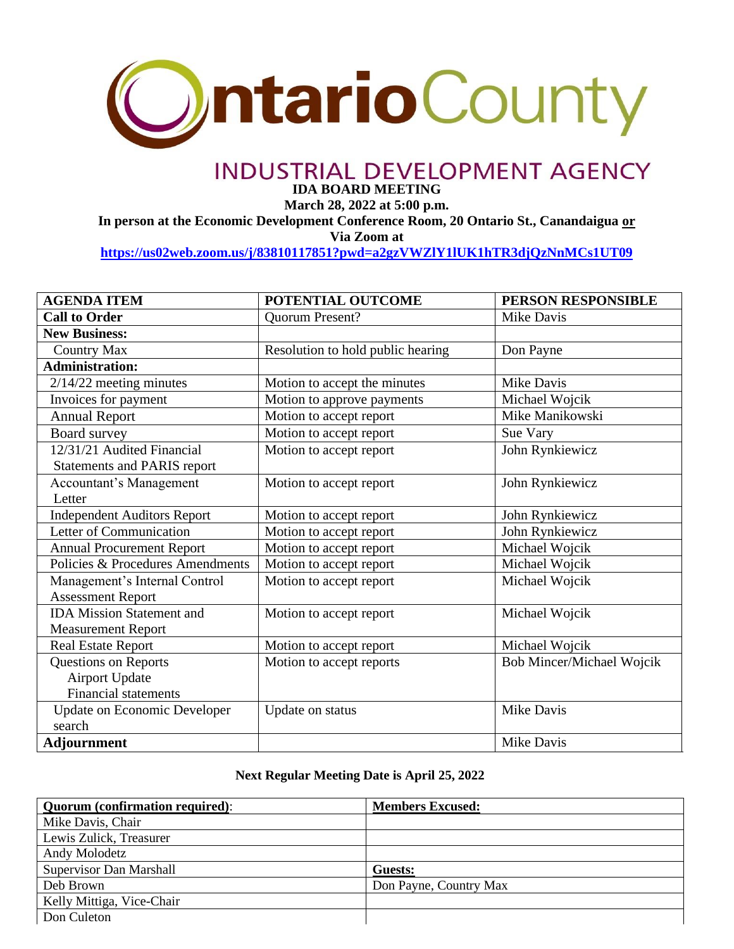

## **INDUSTRIAL DEVELOPMENT AGENCY**

**IDA BOARD MEETING**

**March 28, 2022 at 5:00 p.m.**

**In person at the Economic Development Conference Room, 20 Ontario St., Canandaigua or**

**Via Zoom at** 

**<https://us02web.zoom.us/j/83810117851?pwd=a2gzVWZlY1lUK1hTR3djQzNnMCs1UT09>**

| <b>AGENDA ITEM</b>                  | POTENTIAL OUTCOME                 | PERSON RESPONSIBLE        |
|-------------------------------------|-----------------------------------|---------------------------|
| <b>Call to Order</b>                | <b>Ouorum Present?</b>            | Mike Davis                |
| <b>New Business:</b>                |                                   |                           |
| <b>Country Max</b>                  | Resolution to hold public hearing | Don Payne                 |
| <b>Administration:</b>              |                                   |                           |
| $2/14/22$ meeting minutes           | Motion to accept the minutes      | Mike Davis                |
| Invoices for payment                | Motion to approve payments        | Michael Wojcik            |
| <b>Annual Report</b>                | Motion to accept report           | Mike Manikowski           |
| Board survey                        | Motion to accept report           | Sue Vary                  |
| 12/31/21 Audited Financial          | Motion to accept report           | John Rynkiewicz           |
| <b>Statements and PARIS report</b>  |                                   |                           |
| <b>Accountant's Management</b>      | Motion to accept report           | John Rynkiewicz           |
| Letter                              |                                   |                           |
| <b>Independent Auditors Report</b>  | Motion to accept report           | John Rynkiewicz           |
| Letter of Communication             | Motion to accept report           | John Rynkiewicz           |
| <b>Annual Procurement Report</b>    | Motion to accept report           | Michael Wojcik            |
| Policies & Procedures Amendments    | Motion to accept report           | Michael Wojcik            |
| Management's Internal Control       | Motion to accept report           | Michael Wojcik            |
| <b>Assessment Report</b>            |                                   |                           |
| <b>IDA</b> Mission Statement and    | Motion to accept report           | Michael Wojcik            |
| <b>Measurement Report</b>           |                                   |                           |
| <b>Real Estate Report</b>           | Motion to accept report           | Michael Wojcik            |
| Questions on Reports                | Motion to accept reports          | Bob Mincer/Michael Wojcik |
| <b>Airport Update</b>               |                                   |                           |
| <b>Financial statements</b>         |                                   |                           |
| <b>Update on Economic Developer</b> | Update on status                  | Mike Davis                |
| search                              |                                   |                           |
| <b>Adjournment</b>                  |                                   | Mike Davis                |

## **Next Regular Meeting Date is April 25, 2022**

| <b>Quorum</b> (confirmation required): | <b>Members Excused:</b> |
|----------------------------------------|-------------------------|
| Mike Davis, Chair                      |                         |
| Lewis Zulick, Treasurer                |                         |
| Andy Molodetz                          |                         |
| <b>Supervisor Dan Marshall</b>         | Guests:                 |
| Deb Brown                              | Don Payne, Country Max  |
| Kelly Mittiga, Vice-Chair              |                         |
| Don Culeton                            |                         |